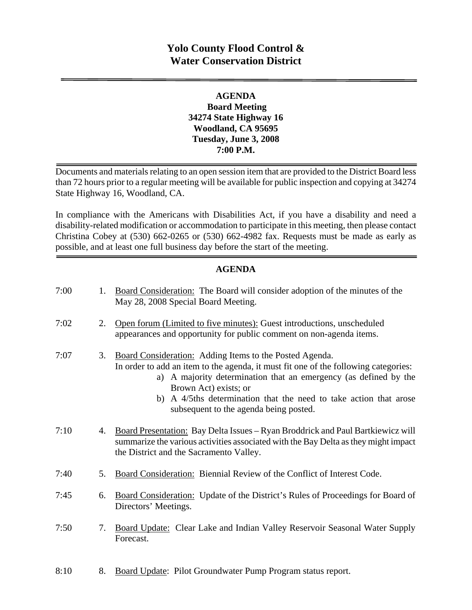# **Yolo County Flood Control & Water Conservation District**

## **AGENDA Board Meeting 34274 State Highway 16 Woodland, CA 95695 Tuesday, June 3, 2008 7:00 P.M.**

Documents and materials relating to an open session item that are provided to the District Board less than 72 hours prior to a regular meeting will be available for public inspection and copying at 34274 State Highway 16, Woodland, CA.

In compliance with the Americans with Disabilities Act, if you have a disability and need a disability-related modification or accommodation to participate in this meeting, then please contact Christina Cobey at (530) 662-0265 or (530) 662-4982 fax. Requests must be made as early as possible, and at least one full business day before the start of the meeting.

## **AGENDA**

| 7:00 | 1. | Board Consideration: The Board will consider adoption of the minutes of the<br>May 28, 2008 Special Board Meeting.                                                                                                                                                                                                                                         |
|------|----|------------------------------------------------------------------------------------------------------------------------------------------------------------------------------------------------------------------------------------------------------------------------------------------------------------------------------------------------------------|
| 7:02 | 2. | Open forum (Limited to five minutes): Guest introductions, unscheduled<br>appearances and opportunity for public comment on non-agenda items.                                                                                                                                                                                                              |
| 7:07 | 3. | Board Consideration: Adding Items to the Posted Agenda.<br>In order to add an item to the agenda, it must fit one of the following categories:<br>a) A majority determination that an emergency (as defined by the<br>Brown Act) exists; or<br>b) A 4/5ths determination that the need to take action that arose<br>subsequent to the agenda being posted. |
| 7:10 | 4. | Board Presentation: Bay Delta Issues - Ryan Broddrick and Paul Bartkiewicz will<br>summarize the various activities associated with the Bay Delta as they might impact<br>the District and the Sacramento Valley.                                                                                                                                          |
| 7:40 | 5. | Board Consideration: Biennial Review of the Conflict of Interest Code.                                                                                                                                                                                                                                                                                     |
| 7:45 | 6. | <b>Board Consideration:</b> Update of the District's Rules of Proceedings for Board of<br>Directors' Meetings.                                                                                                                                                                                                                                             |
| 7:50 | 7. | Board Update: Clear Lake and Indian Valley Reservoir Seasonal Water Supply<br>Forecast.                                                                                                                                                                                                                                                                    |
|      |    |                                                                                                                                                                                                                                                                                                                                                            |

8:10 8. Board Update: Pilot Groundwater Pump Program status report.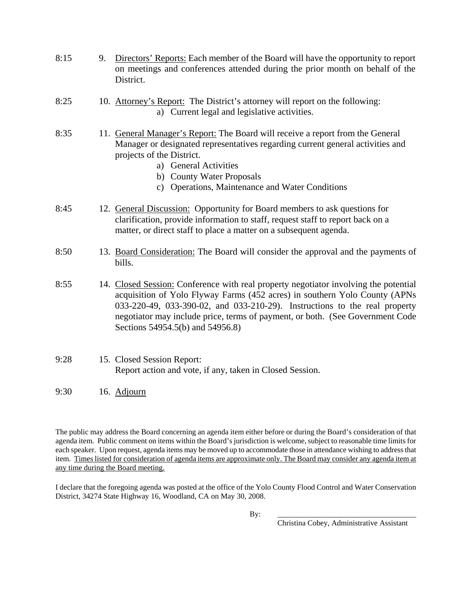- 8:15 9. Directors' Reports: Each member of the Board will have the opportunity to report on meetings and conferences attended during the prior month on behalf of the District.
- 8:25 10. Attorney's Report: The District's attorney will report on the following: a) Current legal and legislative activities.
- 8:35 11. General Manager's Report: The Board will receive a report from the General Manager or designated representatives regarding current general activities and projects of the District.
	- a) General Activities
	- b) County Water Proposals
	- c) Operations, Maintenance and Water Conditions
- 8:45 12. General Discussion: Opportunity for Board members to ask questions for clarification, provide information to staff, request staff to report back on a matter, or direct staff to place a matter on a subsequent agenda.
- 8:50 13. Board Consideration: The Board will consider the approval and the payments of bills.

8:55 14. Closed Session: Conference with real property negotiator involving the potential acquisition of Yolo Flyway Farms (452 acres) in southern Yolo County (APNs 033-220-49, 033-390-02, and 033-210-29). Instructions to the real property negotiator may include price, terms of payment, or both. (See Government Code Sections 54954.5(b) and 54956.8)

#### 9:28 15. Closed Session Report: Report action and vote, if any, taken in Closed Session.

9:30 16. Adjourn

The public may address the Board concerning an agenda item either before or during the Board's consideration of that agenda item. Public comment on items within the Board's jurisdiction is welcome, subject to reasonable time limits for each speaker. Upon request, agenda items may be moved up to accommodate those in attendance wishing to address that item. Times listed for consideration of agenda items are approximate only. The Board may consider any agenda item at any time during the Board meeting.

I declare that the foregoing agenda was posted at the office of the Yolo County Flood Control and Water Conservation District, 34274 State Highway 16, Woodland, CA on May 30, 2008.

By: \_\_\_\_\_\_\_\_\_\_\_\_\_\_\_\_\_\_\_\_\_\_\_\_\_\_\_\_\_\_\_\_\_\_\_\_\_

Christina Cobey, Administrative Assistant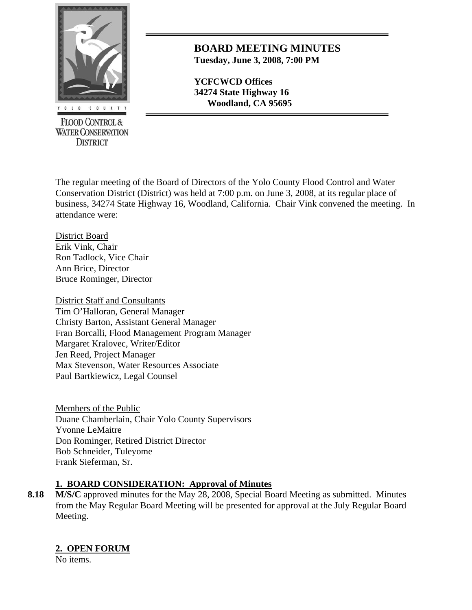

**FLOOD CONTROL & WATER CONSERVATION DISTRICT** 

**BOARD MEETING MINUTES Tuesday, June 3, 2008, 7:00 PM**

**YCFCWCD Offices 34274 State Highway 16 Woodland, CA 95695** 

The regular meeting of the Board of Directors of the Yolo County Flood Control and Water Conservation District (District) was held at 7:00 p.m. on June 3, 2008, at its regular place of business, 34274 State Highway 16, Woodland, California. Chair Vink convened the meeting. In attendance were:

District Board Erik Vink, Chair Ron Tadlock, Vice Chair Ann Brice, Director Bruce Rominger, Director

District Staff and Consultants Tim O'Halloran, General Manager Christy Barton, Assistant General Manager Fran Borcalli, Flood Management Program Manager Margaret Kralovec, Writer/Editor Jen Reed, Project Manager Max Stevenson, Water Resources Associate Paul Bartkiewicz, Legal Counsel

Members of the Public Duane Chamberlain, Chair Yolo County Supervisors Yvonne LeMaitre Don Rominger, Retired District Director Bob Schneider, Tuleyome Frank Sieferman, Sr.

## **1. BOARD CONSIDERATION: Approval of Minutes**

8.18 M/S/C approved minutes for the May 28, 2008, Special Board Meeting as submitted. Minutes from the May Regular Board Meeting will be presented for approval at the July Regular Board Meeting.

## **2. OPEN FORUM**

No items.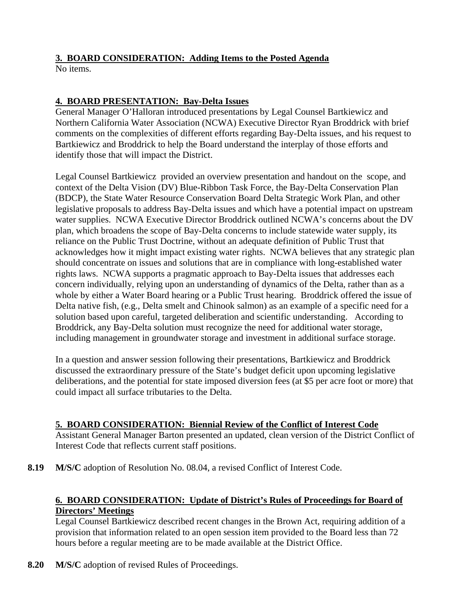# **3. BOARD CONSIDERATION: Adding Items to the Posted Agenda**

No items.

## **4. BOARD PRESENTATION: Bay-Delta Issues**

General Manager O'Halloran introduced presentations by Legal Counsel Bartkiewicz and Northern California Water Association (NCWA) Executive Director Ryan Broddrick with brief comments on the complexities of different efforts regarding Bay-Delta issues, and his request to Bartkiewicz and Broddrick to help the Board understand the interplay of those efforts and identify those that will impact the District.

Legal Counsel Bartkiewicz provided an overview presentation and handout on the scope, and context of the Delta Vision (DV) Blue-Ribbon Task Force, the Bay-Delta Conservation Plan (BDCP), the State Water Resource Conservation Board Delta Strategic Work Plan, and other legislative proposals to address Bay-Delta issues and which have a potential impact on upstream water supplies. NCWA Executive Director Broddrick outlined NCWA's concerns about the DV plan, which broadens the scope of Bay-Delta concerns to include statewide water supply, its reliance on the Public Trust Doctrine, without an adequate definition of Public Trust that acknowledges how it might impact existing water rights. NCWA believes that any strategic plan should concentrate on issues and solutions that are in compliance with long-established water rights laws. NCWA supports a pragmatic approach to Bay-Delta issues that addresses each concern individually, relying upon an understanding of dynamics of the Delta, rather than as a whole by either a Water Board hearing or a Public Trust hearing. Broddrick offered the issue of Delta native fish, (e.g., Delta smelt and Chinook salmon) as an example of a specific need for a solution based upon careful, targeted deliberation and scientific understanding. According to Broddrick, any Bay-Delta solution must recognize the need for additional water storage, including management in groundwater storage and investment in additional surface storage.

In a question and answer session following their presentations, Bartkiewicz and Broddrick discussed the extraordinary pressure of the State's budget deficit upon upcoming legislative deliberations, and the potential for state imposed diversion fees (at \$5 per acre foot or more) that could impact all surface tributaries to the Delta.

## **5. BOARD CONSIDERATION: Biennial Review of the Conflict of Interest Code**

Assistant General Manager Barton presented an updated, clean version of the District Conflict of Interest Code that reflects current staff positions.

**8.19 M/S/C** adoption of Resolution No. 08.04, a revised Conflict of Interest Code.

## **6. BOARD CONSIDERATION: Update of District's Rules of Proceedings for Board of Directors' Meetings**

Legal Counsel Bartkiewicz described recent changes in the Brown Act, requiring addition of a provision that information related to an open session item provided to the Board less than 72 hours before a regular meeting are to be made available at the District Office.

**8.20 M/S/C** adoption of revised Rules of Proceedings.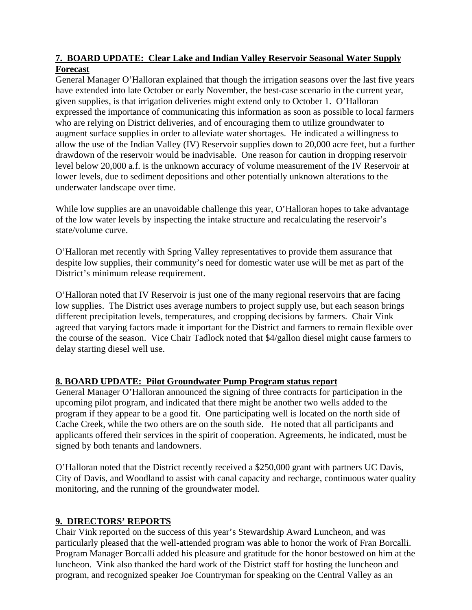## **7. BOARD UPDATE: Clear Lake and Indian Valley Reservoir Seasonal Water Supply Forecast**

General Manager O'Halloran explained that though the irrigation seasons over the last five years have extended into late October or early November, the best-case scenario in the current year, given supplies, is that irrigation deliveries might extend only to October 1. O'Halloran expressed the importance of communicating this information as soon as possible to local farmers who are relying on District deliveries, and of encouraging them to utilize groundwater to augment surface supplies in order to alleviate water shortages. He indicated a willingness to allow the use of the Indian Valley (IV) Reservoir supplies down to 20,000 acre feet, but a further drawdown of the reservoir would be inadvisable. One reason for caution in dropping reservoir level below 20,000 a.f. is the unknown accuracy of volume measurement of the IV Reservoir at lower levels, due to sediment depositions and other potentially unknown alterations to the underwater landscape over time.

While low supplies are an unavoidable challenge this year, O'Halloran hopes to take advantage of the low water levels by inspecting the intake structure and recalculating the reservoir's state/volume curve.

O'Halloran met recently with Spring Valley representatives to provide them assurance that despite low supplies, their community's need for domestic water use will be met as part of the District's minimum release requirement.

O'Halloran noted that IV Reservoir is just one of the many regional reservoirs that are facing low supplies. The District uses average numbers to project supply use, but each season brings different precipitation levels, temperatures, and cropping decisions by farmers. Chair Vink agreed that varying factors made it important for the District and farmers to remain flexible over the course of the season. Vice Chair Tadlock noted that \$4/gallon diesel might cause farmers to delay starting diesel well use.

## **8. BOARD UPDATE: Pilot Groundwater Pump Program status report**

General Manager O'Halloran announced the signing of three contracts for participation in the upcoming pilot program, and indicated that there might be another two wells added to the program if they appear to be a good fit. One participating well is located on the north side of Cache Creek, while the two others are on the south side. He noted that all participants and applicants offered their services in the spirit of cooperation. Agreements, he indicated, must be signed by both tenants and landowners.

O'Halloran noted that the District recently received a \$250,000 grant with partners UC Davis, City of Davis, and Woodland to assist with canal capacity and recharge, continuous water quality monitoring, and the running of the groundwater model.

## **9. DIRECTORS' REPORTS**

Chair Vink reported on the success of this year's Stewardship Award Luncheon, and was particularly pleased that the well-attended program was able to honor the work of Fran Borcalli. Program Manager Borcalli added his pleasure and gratitude for the honor bestowed on him at the luncheon. Vink also thanked the hard work of the District staff for hosting the luncheon and program, and recognized speaker Joe Countryman for speaking on the Central Valley as an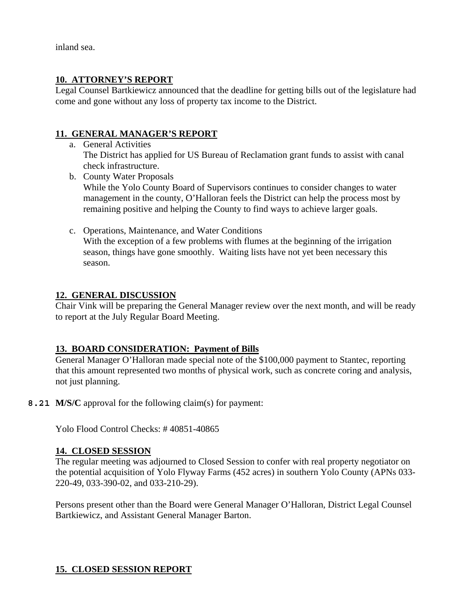inland sea.

### **10. ATTORNEY'S REPORT**

Legal Counsel Bartkiewicz announced that the deadline for getting bills out of the legislature had come and gone without any loss of property tax income to the District.

### **11. GENERAL MANAGER'S REPORT**

a. General Activities

The District has applied for US Bureau of Reclamation grant funds to assist with canal check infrastructure.

b. County Water Proposals

While the Yolo County Board of Supervisors continues to consider changes to water management in the county, O'Halloran feels the District can help the process most by remaining positive and helping the County to find ways to achieve larger goals.

c. Operations, Maintenance, and Water Conditions With the exception of a few problems with flumes at the beginning of the irrigation season, things have gone smoothly. Waiting lists have not yet been necessary this season.

#### **12. GENERAL DISCUSSION**

Chair Vink will be preparing the General Manager review over the next month, and will be ready to report at the July Regular Board Meeting.

## **13. BOARD CONSIDERATION: Payment of Bills**

General Manager O'Halloran made special note of the \$100,000 payment to Stantec, reporting that this amount represented two months of physical work, such as concrete coring and analysis, not just planning.

**8.21 M/S/C** approval for the following claim(s) for payment:

Yolo Flood Control Checks: # 40851-40865

#### **14. CLOSED SESSION**

The regular meeting was adjourned to Closed Session to confer with real property negotiator on the potential acquisition of Yolo Flyway Farms (452 acres) in southern Yolo County (APNs 033- 220-49, 033-390-02, and 033-210-29).

Persons present other than the Board were General Manager O'Halloran, District Legal Counsel Bartkiewicz, and Assistant General Manager Barton.

## **15. CLOSED SESSION REPORT**